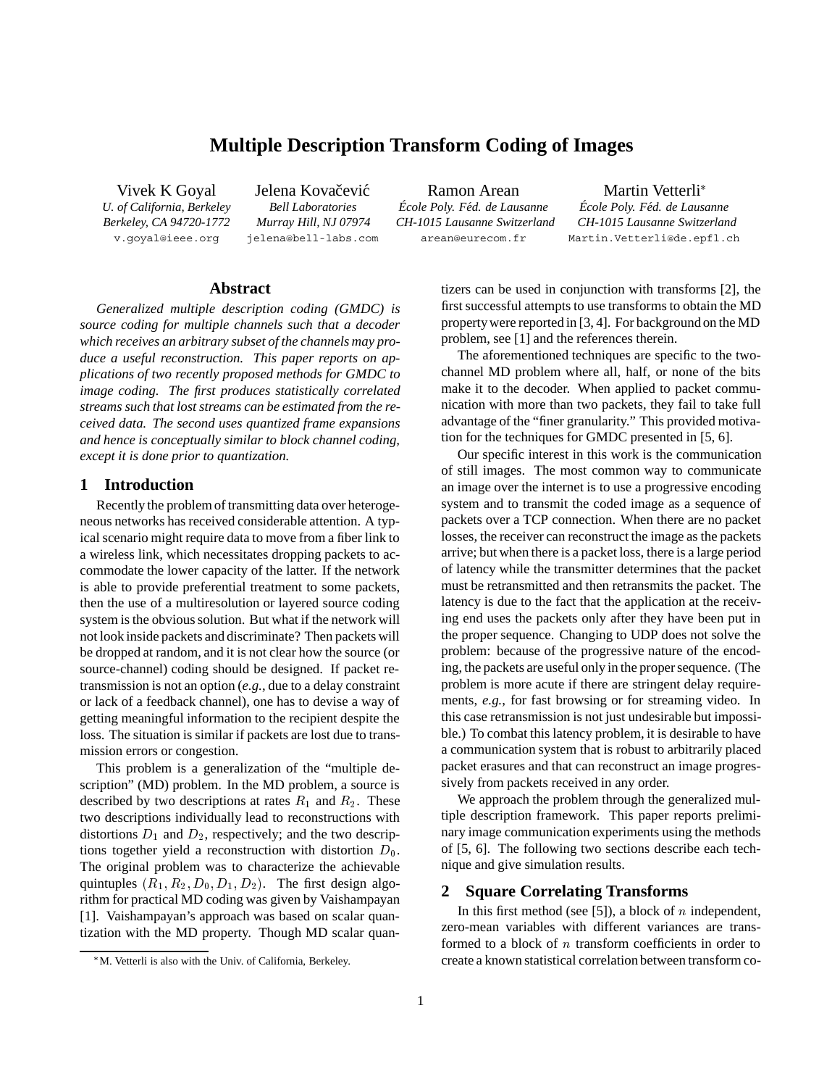# **Multiple Description Transform Coding of Images**

Vivek K Goyal *Jelena Kovačević* Ramon Arean Martin Vetterli<sup>\*</sup> *U. of California, Berkeley Bell Laboratories Ecole Poly. F´ ´ ed. de Lausanne Ecole Poly. F´ ´ ed. de Lausanne Berkeley, CA 94720-1772 Murray Hill, NJ 07974 CH-1015 Lausanne Switzerland CH-1015 Lausanne Switzerland* v.goyal@ieee.org jelena@bell-labs.com arean@eurecom.fr Martin.Vetterli@de.epfl.ch

**Abstract**

*Generalized multiple description coding (GMDC) is source coding for multiple channels such that a decoder which receives an arbitrary subset of the channels may produce a useful reconstruction. This paper reports on applications of two recently proposed methods for GMDC to image coding. The first produces statistically correlated streams such that lost streams can be estimated from the received data. The second uses quantized frame expansions and hence is conceptually similar to block channel coding, except it is done prior to quantization.*

# **1 Introduction**

Recently the problem of transmitting data over heterogeneous networks has received considerable attention. A typical scenario might require data to move from a fiber link to a wireless link, which necessitates dropping packets to accommodate the lower capacity of the latter. If the network is able to provide preferential treatment to some packets, then the use of a multiresolution or layered source coding system is the obvious solution. But what if the network will not look inside packets and discriminate? Then packets will be dropped at random, and it is not clear how the source (or source-channel) coding should be designed. If packet retransmission is not an option (*e.g.*, due to a delay constraint or lack of a feedback channel), one has to devise a way of getting meaningful information to the recipient despite the loss. The situation is similar if packets are lost due to transmission errors or congestion.

This problem is a generalization of the "multiple description" (MD) problem. In the MD problem, a source is described by two descriptions at rates  $R_1$  and  $R_2$ . These two descriptions individually lead to reconstructions with distortions  $D_1$  and  $D_2$ , respectively; and the two descriptions together yield a reconstruction with distortion  $D_0$ . The original problem was to characterize the achievable quintuples  $(R_1, R_2, D_0, D_1, D_2)$ . The first design algorithm for practical MD coding was given by Vaishampayan [1]. Vaishampayan's approach was based on scalar quantization with the MD property. Though MD scalar quan-

tizers can be used in conjunction with transforms [2], the first successful attempts to use transforms to obtain the MD property were reported in [3, 4]. For background on the MD problem, see [1] and the references therein.

The aforementioned techniques are specific to the twochannel MD problem where all, half, or none of the bits make it to the decoder. When applied to packet communication with more than two packets, they fail to take full advantage of the "finer granularity." This provided motivation for the techniques for GMDC presented in [5, 6].

Our specific interest in this work is the communication of still images. The most common way to communicate an image over the internet is to use a progressive encoding system and to transmit the coded image as a sequence of packets over a TCP connection. When there are no packet losses, the receiver can reconstruct the image as the packets arrive; but when there is a packet loss, there is a large period of latency while the transmitter determines that the packet must be retransmitted and then retransmits the packet. The latency is due to the fact that the application at the receiving end uses the packets only after they have been put in the proper sequence. Changing to UDP does not solve the problem: because of the progressive nature of the encoding, the packets are useful only in the proper sequence. (The problem is more acute if there are stringent delay requirements, *e.g.*, for fast browsing or for streaming video. In this case retransmission is not just undesirable but impossible.) To combat this latency problem, it is desirable to have a communication system that is robust to arbitrarily placed packet erasures and that can reconstruct an image progressively from packets received in any order.

We approach the problem through the generalized multiple description framework. This paper reports preliminary image communication experiments using the methods of [5, 6]. The following two sections describe each technique and give simulation results.

# **2 Square Correlating Transforms**

In this first method (see [5]), a block of  $n$  independent, zero-mean variables with different variances are transformed to a block of <sup>n</sup> transform coefficients in order to create a known statistical correlation between transform co-

M. Vetterli is also with the Univ. of California, Berkeley.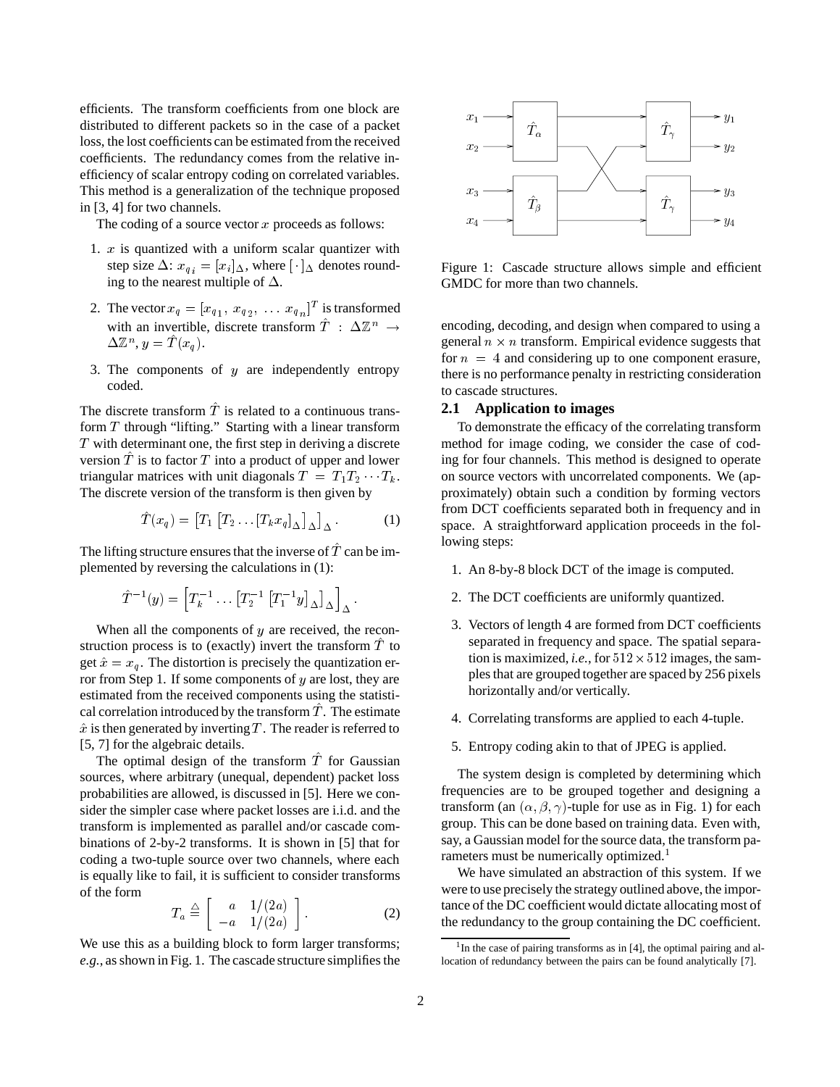efficients. The transform coefficients from one block are distributed to different packets so in the case of a packet loss, the lost coefficients can be estimated from the received coefficients. The redundancy comes from the relative inefficiency of scalar entropy coding on correlated variables. This method is a generalization of the technique proposed in [3, 4] for two channels.

The coding of a source vector  $x$  proceeds as follows:

- 1.  $x$  is quantized with a uniform scalar quantizer with step size  $\Delta: x_{q_i} = [x_i]_{\Delta}$ , where  $[\cdot]_{\Delta}$  denotes rounding to the nearest multiple of  $\Delta$ .
- 2. The vector  $x_q = [x_{q_1}, x_{q_2}, \dots, x_{q_n}]^T$  is transformed with an invertible, discrete transform  $\hat{T}$  :  $\Delta \mathbb{Z}^n \rightarrow$  $\Delta \mathbb{Z}^n, y = T(x_q).$
- 3. The components of  $y$  are independently entropy coded.

The discrete transform  $\hat{T}$  is related to a continuous transform <sup>T</sup> through "lifting." Starting with a linear transform  $T$  with determinant one, the first step in deriving a discrete version  $T$  is to factor  $T$  into a product of upper and lower triangular matrices with unit diagonals  $T = T_1 T_2 \cdots T_k$ . The discrete version of the transform is then given by

$$
\hat{T}(x_q) = \left[T_1 \left[T_2 \dots \left[T_k x_q\right]_\Delta\right]_\Delta\right]_\Delta. \tag{1}
$$

The lifting structure ensures that the inverse of  $\hat{T}$  can be implemented by reversing the calculations in (1):

$$
\hat{T}^{-1}(y) = \left[T_k^{-1} \dots \left[T_2^{-1} \left[T_1^{-1}y\right]_{\Delta}\right]_{\Delta}\right]_{\Delta}.
$$

When all the components of  $y$  are received, the reconstruction process is to (exactly) invert the transform  $T$  to get  $\hat{x} = x_a$ . The distortion is precisely the quantization error from Step 1. If some components of  $y$  are lost, they are estimated from the received components using the statistical correlation introduced by the transform  $T$ . The estimate  $\hat{x}$  is then generated by inverting T. The reader is referred to [5, 7] for the algebraic details.

The optimal design of the transform  $\hat{T}$  for Gaussian sources, where arbitrary (unequal, dependent) packet loss probabilities are allowed, is discussed in [5]. Here we consider the simpler case where packet losses are i.i.d. and the transform is implemented as parallel and/or cascade combinations of 2-by-2 transforms. It is shown in [5] that for coding a two-tuple source over two channels, where each is equally like to fail, it is sufficient to consider transforms of the form -

$$
T_a \stackrel{\triangle}{=} \left[ \begin{array}{cc} a & 1/(2a) \\ -a & 1/(2a) \end{array} \right]. \tag{2}
$$

We use this as a building block to form larger transforms; *e.g.*, as shown in Fig. 1. The cascade structure simplifies the



Figure 1: Cascade structure allows simple and efficient GMDC for more than two channels.

 $\mathbb{Z}^n \to$  encoding, decoding, and design when compared to using a general  $n \times n$  transform. Empirical evidence suggests that for  $n = 4$  and considering up to one component erasure, there is no performance penalty in restricting consideration to cascade structures.

#### **2.1 Application to images**

To demonstrate the efficacy of the correlating transform method for image coding, we consider the case of coding for four channels. This method is designed to operate on source vectors with uncorrelated components. We (approximately) obtain such a condition by forming vectors from DCT coefficients separated both in frequency and in space. A straightforward application proceeds in the following steps:

- 1. An 8-by-8 block DCT of the image is computed.
- 2. The DCT coefficients are uniformly quantized.
- 3. Vectors of length 4 are formed from DCT coefficients separated in frequency and space. The spatial separation is maximized, *i.e.*, for  $512 \times 512$  images, the samples that are grouped together are spaced by 256 pixels horizontally and/or vertically.
- 4. Correlating transforms are applied to each 4-tuple.
- 5. Entropy coding akin to that of JPEG is applied.

The system design is completed by determining which frequencies are to be grouped together and designing a transform (an  $(\alpha, \beta, \gamma)$ -tuple for use as in Fig. 1) for each group. This can be done based on training data. Even with, say, a Gaussian model for the source data, the transform parameters must be numerically optimized.<sup>1</sup>

We have simulated an abstraction of this system. If we were to use precisely the strategy outlined above, the importance of the DC coefficient would dictate allocating most of the redundancy to the group containing the DC coefficient.

 $1$ In the case of pairing transforms as in [4], the optimal pairing and allocation of redundancy between the pairs can be found analytically [7].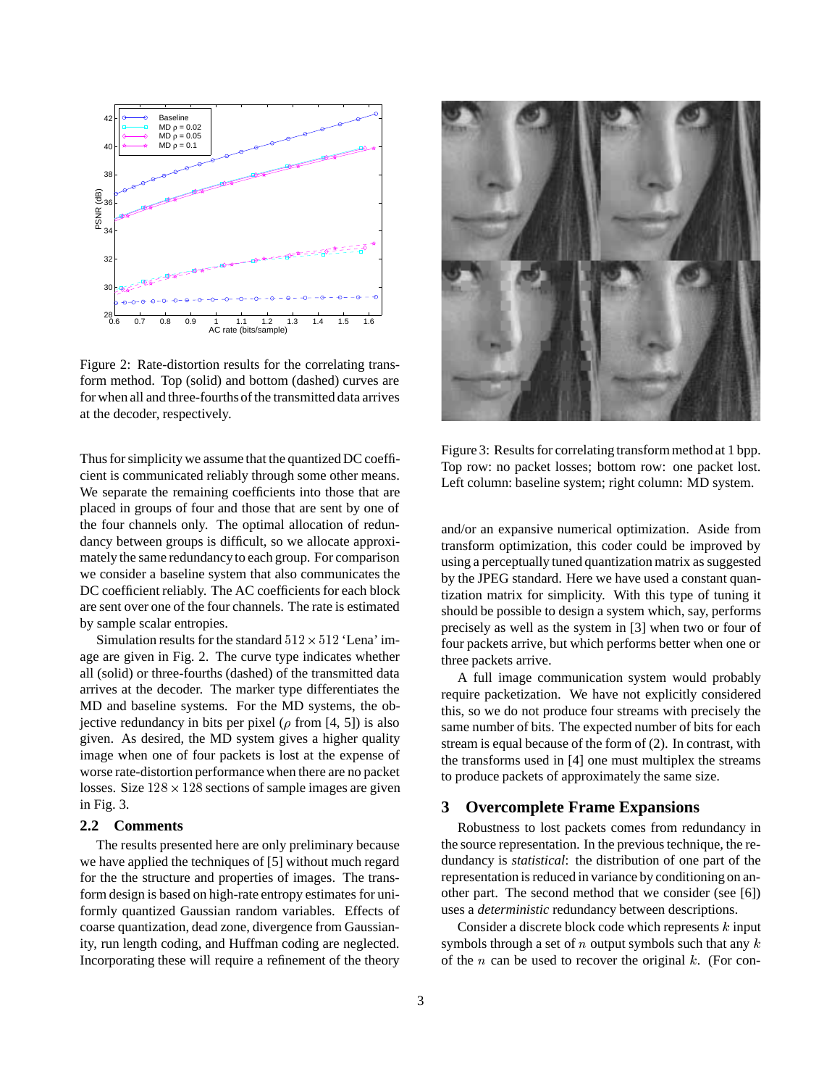

Figure 2: Rate-distortion results for the correlating transform method. Top (solid) and bottom (dashed) curves are for when all and three-fourths of the transmitted data arrives at the decoder, respectively.

Thus for simplicity we assume that the quantized DC coefficient is communicated reliably through some other means. We separate the remaining coefficients into those that are placed in groups of four and those that are sent by one of the four channels only. The optimal allocation of redundancy between groups is difficult, so we allocate approximately the same redundancyto each group. For comparison we consider a baseline system that also communicates the DC coefficient reliably. The AC coefficients for each block are sent over one of the four channels. The rate is estimated by sample scalar entropies.

Simulation results for the standard  $512 \times 512$  'Lena' image are given in Fig. 2. The curve type indicates whether all (solid) or three-fourths (dashed) of the transmitted data arrives at the decoder. The marker type differentiates the MD and baseline systems. For the MD systems, the objective redundancy in bits per pixel ( $\rho$  from [4, 5]) is also given. As desired, the MD system gives a higher quality image when one of four packets is lost at the expense of worse rate-distortion performance when there are no packet losses. Size  $128 \times 128$  sections of sample images are given in Fig. 3.

#### **2.2 Comments**

The results presented here are only preliminary because we have applied the techniques of [5] without much regard for the the structure and properties of images. The transform design is based on high-rate entropy estimates for uniformly quantized Gaussian random variables. Effects of coarse quantization, dead zone, divergence from Gaussianity, run length coding, and Huffman coding are neglected. Incorporating these will require a refinement of the theory



Figure 3: Results for correlating transform method at 1 bpp. Top row: no packet losses; bottom row: one packet lost. Left column: baseline system; right column: MD system.

and/or an expansive numerical optimization. Aside from transform optimization, this coder could be improved by using a perceptually tuned quantization matrix as suggested by the JPEG standard. Here we have used a constant quantization matrix for simplicity. With this type of tuning it should be possible to design a system which, say, performs precisely as well as the system in [3] when two or four of four packets arrive, but which performs better when one or three packets arrive.

A full image communication system would probably require packetization. We have not explicitly considered this, so we do not produce four streams with precisely the same number of bits. The expected number of bits for each stream is equal because of the form of (2). In contrast, with the transforms used in [4] one must multiplex the streams to produce packets of approximately the same size.

## **3 Overcomplete Frame Expansions**

Robustness to lost packets comes from redundancy in the source representation. In the previous technique, the redundancy is *statistical*: the distribution of one part of the representation is reduced in variance by conditioning on another part. The second method that we consider (see [6]) uses a *deterministic* redundancy between descriptions.

Consider a discrete block code which represents  $k$  input symbols through a set of  $n$  output symbols such that any  $k$ of the *n* can be used to recover the original  $k$ . (For con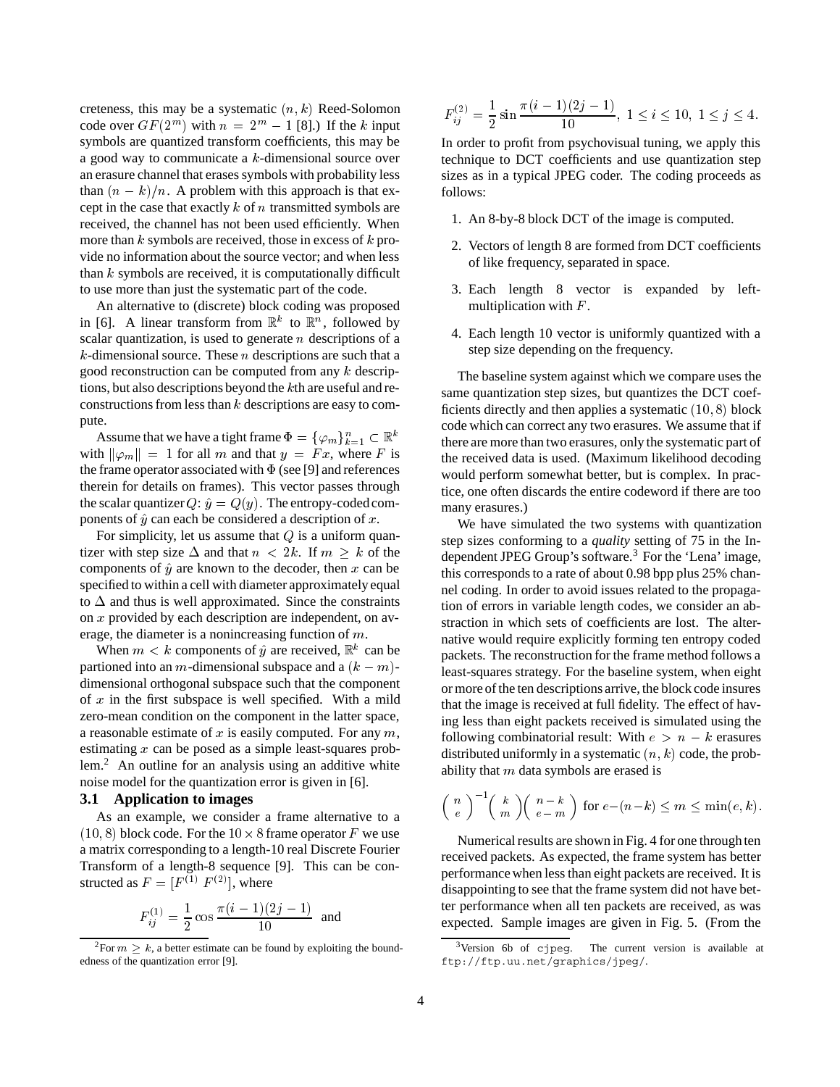creteness, this may be a systematic  $(n, k)$  Reed-Solomon code over  $GF(2^m)$  with  $n = 2^m - 1$  [8].) If the k input symbols are quantized transform coefficients, this may be a good way to communicate a <sup>k</sup>-dimensional source over an erasure channel that erases symbols with probability less than  $(n - k)/n$ . A problem with this approach is that except in the case that exactly  $k$  of  $n$  transmitted symbols are received, the channel has not been used efficiently. When more than  $k$  symbols are received, those in excess of  $k$  provide no information about the source vector; and when less than  $k$  symbols are received, it is computationally difficult to use more than just the systematic part of the code.

An alternative to (discrete) block coding was proposed in [6]. A linear transform from  $\mathbb{R}^k$  to  $\mathbb{R}^n$ , followed by scalar quantization, is used to generate  $n$  descriptions of a  $k$ -dimensional source. These  $n$  descriptions are such that a good reconstruction can be computed from any <sup>k</sup> descriptions, but also descriptions beyond the <sup>k</sup>th are useful and reconstructions from less than  $k$  descriptions are easy to compute.

Assume that we have a tight frame  $\Phi = {\{\varphi_m\}}_{k=1}^n \subset \mathbb{R}^k$  the with  $\|\varphi_m\| = 1$  for all m and that  $y = Fx$ , where F is the frame operator associated with  $\Phi$  (see [9] and references therein for details on frames). This vector passes through the scalar quantizer  $Q: \hat{y} = Q(y)$ . The entropy-coded components of  $\hat{y}$  can each be considered a description of x.

For simplicity, let us assume that  $Q$  is a uniform quantizer with step size  $\Delta$  and that  $n < 2k$ . If  $m \geq k$  of the components of  $\hat{y}$  are known to the decoder, then x can be specified to within a cell with diameter approximately equal to  $\Delta$  and thus is well approximated. Since the constraints on <sup>x</sup> provided by each description are independent, on average, the diameter is a nonincreasing function of <sup>m</sup>.

When  $m < k$  components of  $\hat{y}$  are received,  $\mathbb{R}^k$  can be partioned into an *m*-dimensional subspace and a  $(k - m)$ dimensional orthogonal subspace such that the component of  $x$  in the first subspace is well specified. With a mild zero-mean condition on the component in the latter space, a reasonable estimate of  $x$  is easily computed. For any  $m$ , estimating <sup>x</sup> can be posed as a simple least-squares problem.<sup>2</sup> An outline for an analysis using an additive white noise model for the quantization error is given in [6].

## **3.1 Application to images**

As an example, we consider a frame alternative to a  $(10, 8)$  block code. For the  $10 \times 8$  frame operator F we use a matrix corresponding to a length-10 real Discrete Fourier Transform of a length-8 sequence [9]. This can be constructed as  $F = [F^{(1)} \ F^{(2)}]$ , where

$$
F_{ij}^{(1)} = \frac{1}{2} \cos \frac{\pi (i-1)(2j-1)}{10}
$$
 and

$$
F_{ij}^{(2)} = \frac{1}{2} \sin \frac{\pi (i-1)(2j-1)}{10}, \ 1 \le i \le 10, \ 1 \le j \le 4.
$$

In order to profit from psychovisual tuning, we apply this technique to DCT coefficients and use quantization step sizes as in a typical JPEG coder. The coding proceeds as follows:

- 1. An 8-by-8 block DCT of the image is computed.
- 2. Vectors of length 8 are formed from DCT coefficients of like frequency, separated in space.
- 3. Each length 8 vector is expanded by leftmultiplication with  $F$ .
- 4. Each length 10 vector is uniformly quantized with a step size depending on the frequency.

The baseline system against which we compare uses the same quantization step sizes, but quantizes the DCT coefficients directly and then applies a systematic  $(10, 8)$  block code which can correct any two erasures. We assume that if there are more than two erasures, only the systematic part of the received data is used. (Maximum likelihood decoding would perform somewhat better, but is complex. In practice, one often discards the entire codeword if there are too many erasures.)

We have simulated the two systems with quantization step sizes conforming to a *quality* setting of 75 in the Independent JPEG Group's software.<sup>3</sup> For the 'Lena' image, this corresponds to a rate of about 0.98 bpp plus 25% channel coding. In order to avoid issues related to the propagation of errors in variable length codes, we consider an abstraction in which sets of coefficients are lost. The alternative would require explicitly forming ten entropy coded packets. The reconstruction for the frame method follows a least-squares strategy. For the baseline system, when eight or more of the ten descriptions arrive, the block code insures that the image is received at full fidelity. The effect of having less than eight packets received is simulated using the following combinatorial result: With  $e > n - k$  erasures distributed uniformly in a systematic  $(n, k)$  code, the probability that  $m$  data symbols are erased is

$$
\binom{n}{e}^{-1}\binom{k}{m}\binom{n-k}{e-m}
$$
 for  $e-(n-k) \le m \le \min(e,k)$ .

Numerical results are shown in Fig. 4 for one through ten received packets. As expected, the frame system has better performance when less than eight packets are received. It is disappointing to see that the frame system did not have better performance when all ten packets are received, as was expected. Sample images are given in Fig. 5. (From the

<sup>&</sup>lt;sup>2</sup>For  $m > k$ , a better estimate can be found by exploiting the boundedness of the quantization error [9].

<sup>3</sup>Version 6b of cjpeg. The current version is available at ftp://ftp.uu.net/graphics/jpeg/.